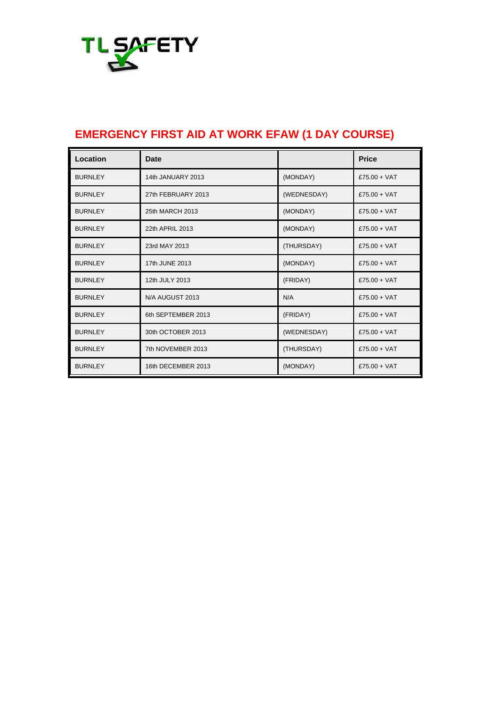

## **EMERGENCY FIRST AID AT WORK EFAW (1 DAY COURSE)**

| Location       | <b>Date</b>        |             | <b>Price</b>   |
|----------------|--------------------|-------------|----------------|
| <b>BURNLEY</b> | 14th JANUARY 2013  | (MONDAY)    | £75.00 + VAT   |
| <b>BURNLEY</b> | 27th FEBRUARY 2013 | (WEDNESDAY) | $£75.00 + VAT$ |
| <b>BURNLEY</b> | 25th MARCH 2013    | (MONDAY)    | $£75.00 + VAT$ |
| <b>BURNLEY</b> | 22th APRIL 2013    | (MONDAY)    | £75.00 + $VAT$ |
| <b>BURNLEY</b> | 23rd MAY 2013      | (THURSDAY)  | $£75.00 + VAT$ |
| <b>BURNLEY</b> | 17th JUNE 2013     | (MONDAY)    | $£75.00 + VAT$ |
| <b>BURNLEY</b> | 12th JULY 2013     | (FRIDAY)    | $£75.00 + VAT$ |
| <b>BURNLEY</b> | N/A AUGUST 2013    | N/A         | $£75.00 + VAT$ |
| <b>BURNLEY</b> | 6th SEPTEMBER 2013 | (FRIDAY)    | £75.00 + $VAT$ |
| <b>BURNLEY</b> | 30th OCTOBER 2013  | (WEDNESDAY) | $£75.00 + VAT$ |
| <b>BURNLEY</b> | 7th NOVEMBER 2013  | (THURSDAY)  | £75.00 + $VAT$ |
| <b>BURNLEY</b> | 16th DECEMBER 2013 | (MONDAY)    | $£75.00 + VAT$ |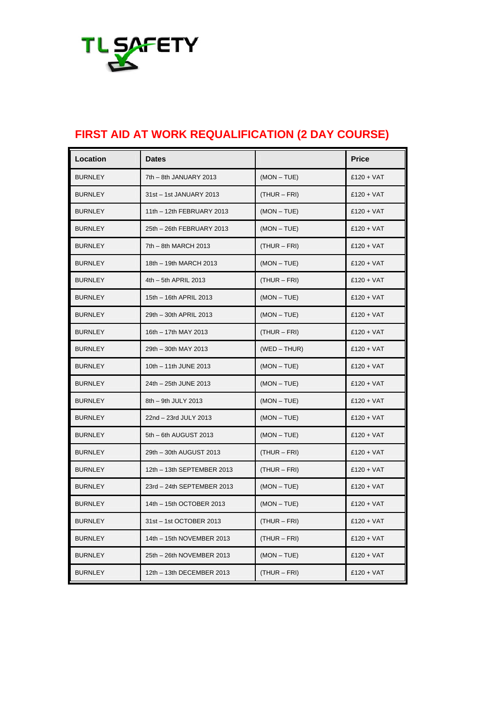

## **FIRST AID AT WORK REQUALIFICATION (2 DAY COURSE)**

| Location       | <b>Dates</b>               |                | <b>Price</b> |
|----------------|----------------------------|----------------|--------------|
| <b>BURNLEY</b> | 7th - 8th JANUARY 2013     | $(MON - TUE)$  | $£120 + VAT$ |
| <b>BURNLEY</b> | 31st - 1st JANUARY 2013    | $(THUR - FRI)$ | $£120 + VAT$ |
| <b>BURNLEY</b> | 11th - 12th FEBRUARY 2013  | $(MON - TUE)$  | $£120 + VAT$ |
| <b>BURNLEY</b> | 25th - 26th FEBRUARY 2013  | $(MON - TUE)$  | $£120 + VAT$ |
| <b>BURNLEY</b> | 7th - 8th MARCH 2013       | $(THUR - FRI)$ | $£120 + VAT$ |
| <b>BURNLEY</b> | 18th - 19th MARCH 2013     | $(MON - TUE)$  | $£120 + VAT$ |
| <b>BURNLEY</b> | 4th - 5th APRIL 2013       | $(THUR - FRI)$ | $£120 + VAT$ |
| <b>BURNLEY</b> | 15th - 16th APRIL 2013     | $(MON - TUE)$  | $£120 + VAT$ |
| <b>BURNLEY</b> | 29th - 30th APRIL 2013     | $(MON - TUE)$  | $£120 + VAT$ |
| <b>BURNLEY</b> | 16th - 17th MAY 2013       | $(THUR - FRI)$ | $£120 + VAT$ |
| <b>BURNLEY</b> | 29th - 30th MAY 2013       | $(WED - THUR)$ | $£120 + VAT$ |
| <b>BURNLEY</b> | 10th - 11th JUNE 2013      | $(MON - TUE)$  | $£120 + VAT$ |
| <b>BURNLEY</b> | 24th - 25th JUNE 2013      | $(MON - TUE)$  | $£120 + VAT$ |
| <b>BURNLEY</b> | 8th - 9th JULY 2013        | $(MON - TUE)$  | $£120 + VAT$ |
| <b>BURNLEY</b> | 22nd - 23rd JULY 2013      | $(MON - TUE)$  | $£120 + VAT$ |
| <b>BURNLEY</b> | 5th - 6th AUGUST 2013      | $(MON - TUE)$  | $£120 + VAT$ |
| <b>BURNLEY</b> | 29th - 30th AUGUST 2013    | $(THUR - FRI)$ | $£120 + VAT$ |
| <b>BURNLEY</b> | 12th - 13th SEPTEMBER 2013 | $(THUR - FRI)$ | $£120 + VAT$ |
| <b>BURNLEY</b> | 23rd - 24th SEPTEMBER 2013 | $(MON - TUE)$  | $£120 + VAT$ |
| <b>BURNLEY</b> | 14th - 15th OCTOBER 2013   | $(MON - TUE)$  | $£120 + VAT$ |
| <b>BURNLEY</b> | 31st - 1st OCTOBER 2013    | $(THUR - FRI)$ | $£120 + VAT$ |
| <b>BURNLEY</b> | 14th - 15th NOVEMBER 2013  | $(THUR - FRI)$ | $£120 + VAT$ |
| <b>BURNLEY</b> | 25th - 26th NOVEMBER 2013  | $(MON - TUE)$  | $£120 + VAT$ |
| <b>BURNLEY</b> | 12th - 13th DECEMBER 2013  | $(THUR - FRI)$ | $£120 + VAT$ |